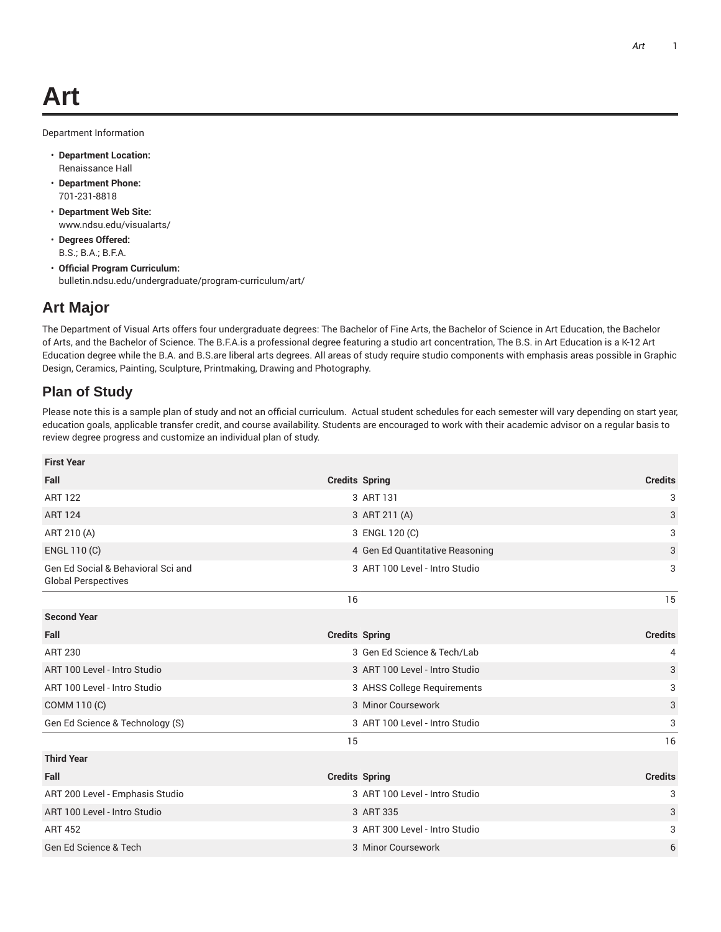Department Information

- **Department Location:** Renaissance Hall
- **Department Phone:** 701-231-8818
- **Department Web Site:** www.ndsu.edu/visualarts/
- **Degrees Offered:** B.S.; B.A.; B.F.A.
- **Official Program Curriculum:** bulletin.ndsu.edu/undergraduate/program-curriculum/art/

## **Art Major**

The Department of Visual Arts offers four undergraduate degrees: The Bachelor of Fine Arts, the Bachelor of Science in Art Education, the Bachelor of Arts, and the Bachelor of Science. The B.F.A.is a professional degree featuring a studio art concentration, The B.S. in Art Education is a K-12 Art Education degree while the B.A. and B.S.are liberal arts degrees. All areas of study require studio components with emphasis areas possible in Graphic Design, Ceramics, Painting, Sculpture, Printmaking, Drawing and Photography.

## **Plan of Study**

Please note this is a sample plan of study and not an official curriculum. Actual student schedules for each semester will vary depending on start year, education goals, applicable transfer credit, and course availability. Students are encouraged to work with their academic advisor on a regular basis to review degree progress and customize an individual plan of study.

| <b>First Year</b>                                                |                                 |                |
|------------------------------------------------------------------|---------------------------------|----------------|
| Fall                                                             | <b>Credits Spring</b>           | <b>Credits</b> |
| <b>ART 122</b>                                                   | 3 ART 131                       | 3              |
| <b>ART 124</b>                                                   | 3 ART 211 (A)                   | 3              |
| ART 210 (A)                                                      | 3 ENGL 120 (C)                  | 3<br>3         |
| ENGL 110 (C)                                                     | 4 Gen Ed Quantitative Reasoning |                |
| Gen Ed Social & Behavioral Sci and<br><b>Global Perspectives</b> | 3 ART 100 Level - Intro Studio  | 3              |
|                                                                  | 16                              | 15             |
| <b>Second Year</b>                                               |                                 |                |
| Fall                                                             | <b>Credits Spring</b>           | <b>Credits</b> |
| <b>ART 230</b>                                                   | 3 Gen Ed Science & Tech/Lab     | 4              |
| ART 100 Level - Intro Studio                                     | 3 ART 100 Level - Intro Studio  | 3              |
| ART 100 Level - Intro Studio                                     | 3 AHSS College Requirements     | 3              |
| COMM 110 (C)                                                     | 3 Minor Coursework              | 3              |
| Gen Ed Science & Technology (S)                                  | 3 ART 100 Level - Intro Studio  | 3              |
|                                                                  | 15                              | 16             |
| <b>Third Year</b>                                                |                                 |                |
| Fall                                                             | <b>Credits Spring</b>           | <b>Credits</b> |
| ART 200 Level - Emphasis Studio                                  | 3 ART 100 Level - Intro Studio  | 3              |
| ART 100 Level - Intro Studio                                     | 3 ART 335                       | 3              |
| <b>ART 452</b>                                                   | 3 ART 300 Level - Intro Studio  | 3              |
| Gen Ed Science & Tech                                            | 3 Minor Coursework              | 6              |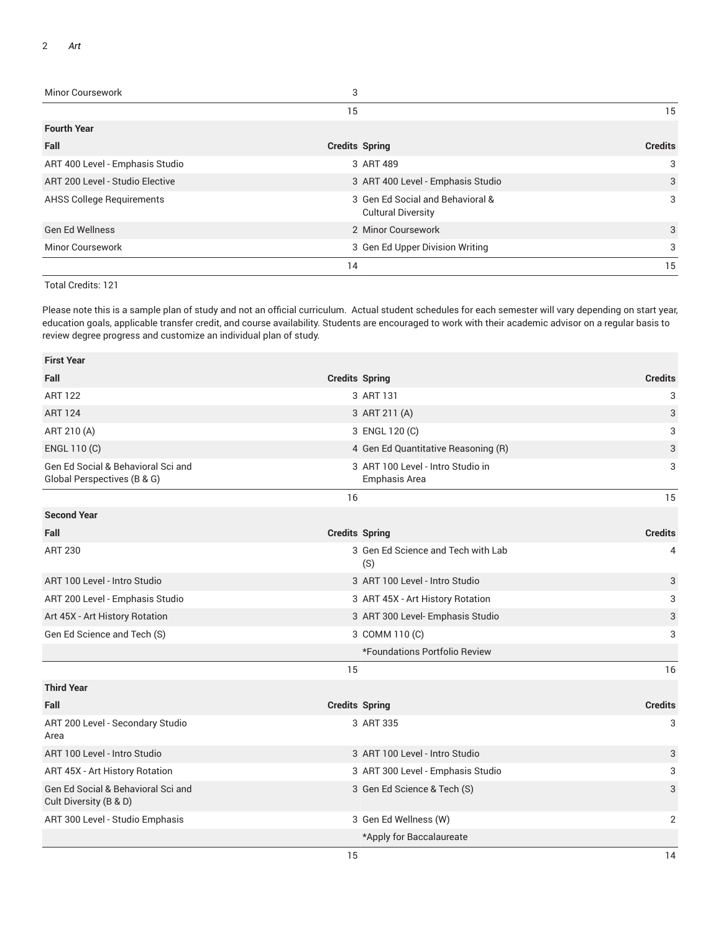| <b>Minor Coursework</b>          | 3                                                             |                |
|----------------------------------|---------------------------------------------------------------|----------------|
|                                  | 15                                                            | 15             |
| <b>Fourth Year</b>               |                                                               |                |
| Fall                             | <b>Credits Spring</b>                                         | <b>Credits</b> |
| ART 400 Level - Emphasis Studio  | 3 ART 489                                                     | 3              |
| ART 200 Level - Studio Elective  | 3 ART 400 Level - Emphasis Studio                             | 3              |
| <b>AHSS College Requirements</b> | 3 Gen Ed Social and Behavioral &<br><b>Cultural Diversity</b> | 3              |
| <b>Gen Ed Wellness</b>           | 2 Minor Coursework                                            | 3              |
| <b>Minor Coursework</b>          | 3 Gen Ed Upper Division Writing                               | 3              |
|                                  | 14                                                            | 15             |

Total Credits: 121

Please note this is a sample plan of study and not an official curriculum. Actual student schedules for each semester will vary depending on start year, education goals, applicable transfer credit, and course availability. Students are encouraged to work with their academic advisor on a regular basis to review degree progress and customize an individual plan of study.

| <b>First Year</b>                                                 |                                   |                                                    |                |
|-------------------------------------------------------------------|-----------------------------------|----------------------------------------------------|----------------|
| Fall                                                              | <b>Credits Spring</b>             |                                                    | <b>Credits</b> |
| <b>ART 122</b>                                                    |                                   | 3 ART 131                                          | 3              |
| <b>ART 124</b>                                                    |                                   | 3 ART 211 (A)                                      | 3              |
| ART 210 (A)                                                       |                                   | 3 ENGL 120 (C)                                     | 3              |
| ENGL 110 (C)                                                      |                                   | 4 Gen Ed Quantitative Reasoning (R)                | 3              |
| Gen Ed Social & Behavioral Sci and<br>Global Perspectives (B & G) |                                   | 3 ART 100 Level - Intro Studio in<br>Emphasis Area | 3              |
|                                                                   | 16                                |                                                    | 15             |
| <b>Second Year</b>                                                |                                   |                                                    |                |
| Fall                                                              | <b>Credits Spring</b>             |                                                    | <b>Credits</b> |
| <b>ART 230</b>                                                    |                                   | 3 Gen Ed Science and Tech with Lab<br>(S)          | 4              |
| ART 100 Level - Intro Studio                                      |                                   | 3 ART 100 Level - Intro Studio                     | 3              |
| ART 200 Level - Emphasis Studio                                   |                                   | 3 ART 45X - Art History Rotation                   | 3              |
| Art 45X - Art History Rotation                                    |                                   | 3 ART 300 Level- Emphasis Studio                   | 3              |
| Gen Ed Science and Tech (S)                                       |                                   | 3 COMM 110 (C)                                     | 3              |
|                                                                   |                                   | *Foundations Portfolio Review                      |                |
|                                                                   | 15                                |                                                    | 16             |
| <b>Third Year</b>                                                 |                                   |                                                    |                |
| Fall                                                              | <b>Credits Spring</b>             |                                                    | <b>Credits</b> |
| ART 200 Level - Secondary Studio<br>Area                          |                                   | 3 ART 335                                          | 3              |
| ART 100 Level - Intro Studio                                      | 3 ART 100 Level - Intro Studio    |                                                    | 3              |
| ART 45X - Art History Rotation                                    | 3 ART 300 Level - Emphasis Studio |                                                    | 3              |
| Gen Ed Social & Behavioral Sci and<br>Cult Diversity (B & D)      |                                   | 3 Gen Ed Science & Tech (S)                        | 3              |
| ART 300 Level - Studio Emphasis                                   |                                   | 3 Gen Ed Wellness (W)                              | 2              |
|                                                                   |                                   | *Apply for Baccalaureate                           |                |
|                                                                   | 15                                |                                                    | 14             |